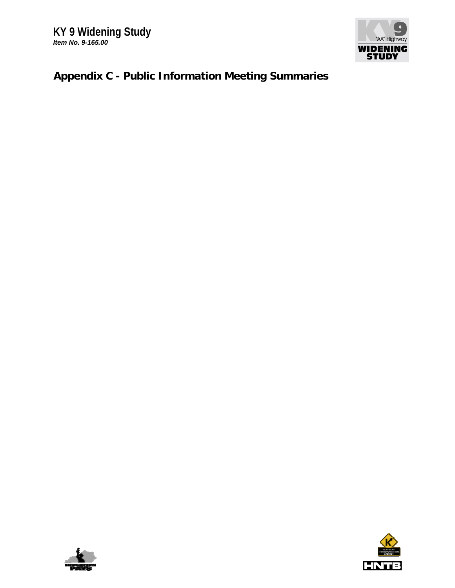

## **Appendix C - Public Information Meeting Summaries**



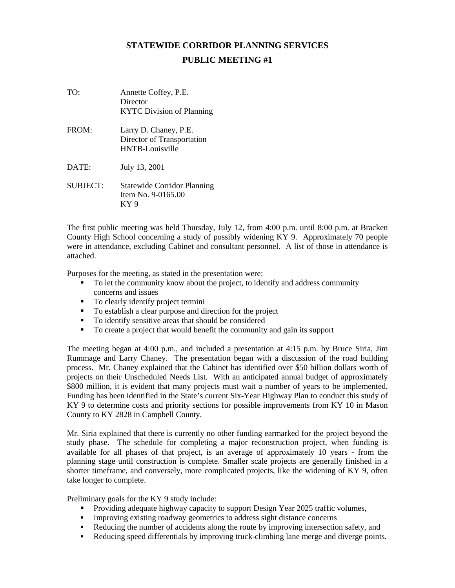## **STATEWIDE CORRIDOR PLANNING SERVICES PUBLIC MEETING #1**

| TO:      | Annette Coffey, P.E.<br>Director<br><b>KYTC</b> Division of Planning   |
|----------|------------------------------------------------------------------------|
| FROM:    | Larry D. Chaney, P.E.<br>Director of Transportation<br>HNTB-Louisville |
| DATE:    | July 13, 2001                                                          |
| SUBJECT: | <b>Statewide Corridor Planning</b><br>Item No. 9-0165.00<br>KY 9       |

The first public meeting was held Thursday, July 12, from 4:00 p.m. until 8:00 p.m. at Bracken County High School concerning a study of possibly widening KY 9. Approximately 70 people were in attendance, excluding Cabinet and consultant personnel. A list of those in attendance is attached.

Purposes for the meeting, as stated in the presentation were:

- To let the community know about the project, to identify and address community concerns and issues
- To clearly identify project termini
- To establish a clear purpose and direction for the project
- To identify sensitive areas that should be considered
- To create a project that would benefit the community and gain its support

The meeting began at 4:00 p.m., and included a presentation at 4:15 p.m. by Bruce Siria, Jim Rummage and Larry Chaney. The presentation began with a discussion of the road building process. Mr. Chaney explained that the Cabinet has identified over \$50 billion dollars worth of projects on their Unscheduled Needs List. With an anticipated annual budget of approximately \$800 million, it is evident that many projects must wait a number of years to be implemented. Funding has been identified in the State's current Six-Year Highway Plan to conduct this study of KY 9 to determine costs and priority sections for possible improvements from KY 10 in Mason County to KY 2828 in Campbell County.

Mr. Siria explained that there is currently no other funding earmarked for the project beyond the study phase. The schedule for completing a major reconstruction project, when funding is available for all phases of that project, is an average of approximately 10 years - from the planning stage until construction is complete. Smaller scale projects are generally finished in a shorter timeframe, and conversely, more complicated projects, like the widening of KY 9, often take longer to complete.

Preliminary goals for the KY 9 study include:

- Providing adequate highway capacity to support Design Year 2025 traffic volumes,
- Improving existing roadway geometrics to address sight distance concerns
- Reducing the number of accidents along the route by improving intersection safety, and
- Reducing speed differentials by improving truck-climbing lane merge and diverge points.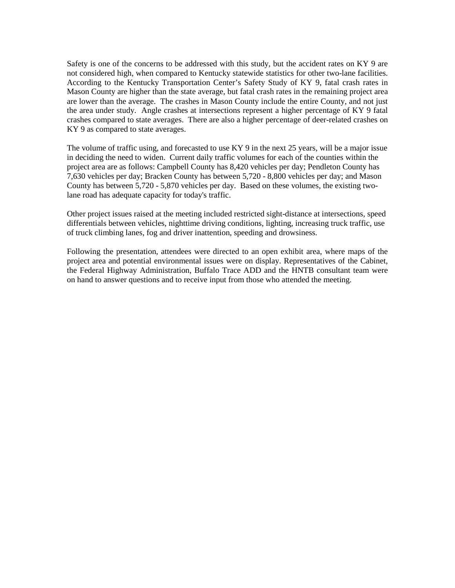Safety is one of the concerns to be addressed with this study, but the accident rates on KY 9 are not considered high, when compared to Kentucky statewide statistics for other two-lane facilities. According to the Kentucky Transportation Center's Safety Study of KY 9, fatal crash rates in Mason County are higher than the state average, but fatal crash rates in the remaining project area are lower than the average. The crashes in Mason County include the entire County, and not just the area under study. Angle crashes at intersections represent a higher percentage of KY 9 fatal crashes compared to state averages. There are also a higher percentage of deer-related crashes on KY 9 as compared to state averages.

The volume of traffic using, and forecasted to use KY 9 in the next 25 years, will be a major issue in deciding the need to widen. Current daily traffic volumes for each of the counties within the project area are as follows: Campbell County has 8,420 vehicles per day; Pendleton County has 7,630 vehicles per day; Bracken County has between 5,720 - 8,800 vehicles per day; and Mason County has between 5,720 - 5,870 vehicles per day. Based on these volumes, the existing twolane road has adequate capacity for today's traffic.

Other project issues raised at the meeting included restricted sight-distance at intersections, speed differentials between vehicles, nighttime driving conditions, lighting, increasing truck traffic, use of truck climbing lanes, fog and driver inattention, speeding and drowsiness.

Following the presentation, attendees were directed to an open exhibit area, where maps of the project area and potential environmental issues were on display. Representatives of the Cabinet, the Federal Highway Administration, Buffalo Trace ADD and the HNTB consultant team were on hand to answer questions and to receive input from those who attended the meeting.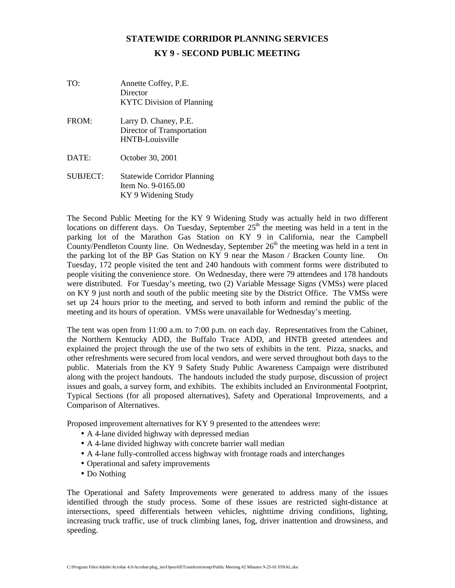## **STATEWIDE CORRIDOR PLANNING SERVICES KY 9 - SECOND PUBLIC MEETING**

| TO:             | Annette Coffey, P.E.<br>Director<br><b>KYTC</b> Division of Planning            |
|-----------------|---------------------------------------------------------------------------------|
| FROM:           | Larry D. Chaney, P.E.<br>Director of Transportation<br><b>HNTB-Louisville</b>   |
| DATE:           | October 30, 2001                                                                |
| <b>SUBJECT:</b> | <b>Statewide Corridor Planning</b><br>Item No. 9-0165.00<br>KY 9 Widening Study |

The Second Public Meeting for the KY 9 Widening Study was actually held in two different locations on different days. On Tuesday, September  $25<sup>th</sup>$  the meeting was held in a tent in the parking lot of the Marathon Gas Station on KY 9 in California, near the Campbell County/Pendleton County line. On Wednesday, September  $26<sup>th</sup>$  the meeting was held in a tent in the parking lot of the BP Gas Station on KY 9 near the Mason / Bracken County line. On Tuesday, 172 people visited the tent and 240 handouts with comment forms were distributed to people visiting the convenience store. On Wednesday, there were 79 attendees and 178 handouts were distributed. For Tuesday's meeting, two (2) Variable Message Signs (VMSs) were placed on KY 9 just north and south of the public meeting site by the District Office. The VMSs were set up 24 hours prior to the meeting, and served to both inform and remind the public of the meeting and its hours of operation. VMSs were unavailable for Wednesday's meeting.

The tent was open from 11:00 a.m. to 7:00 p.m. on each day. Representatives from the Cabinet, the Northern Kentucky ADD, the Buffalo Trace ADD, and HNTB greeted attendees and explained the project through the use of the two sets of exhibits in the tent. Pizza, snacks, and other refreshments were secured from local vendors, and were served throughout both days to the public. Materials from the KY 9 Safety Study Public Awareness Campaign were distributed along with the project handouts. The handouts included the study purpose, discussion of project issues and goals, a survey form, and exhibits. The exhibits included an Environmental Footprint, Typical Sections (for all proposed alternatives), Safety and Operational Improvements, and a Comparison of Alternatives.

Proposed improvement alternatives for KY 9 presented to the attendees were:

- A 4-lane divided highway with depressed median
- A 4-lane divided highway with concrete barrier wall median
- A 4-lane fully-controlled access highway with frontage roads and interchanges
- Operational and safety improvements
- Do Nothing

The Operational and Safety Improvements were generated to address many of the issues identified through the study process. Some of these issues are restricted sight-distance at intersections, speed differentials between vehicles, nighttime driving conditions, lighting, increasing truck traffic, use of truck climbing lanes, fog, driver inattention and drowsiness, and speeding.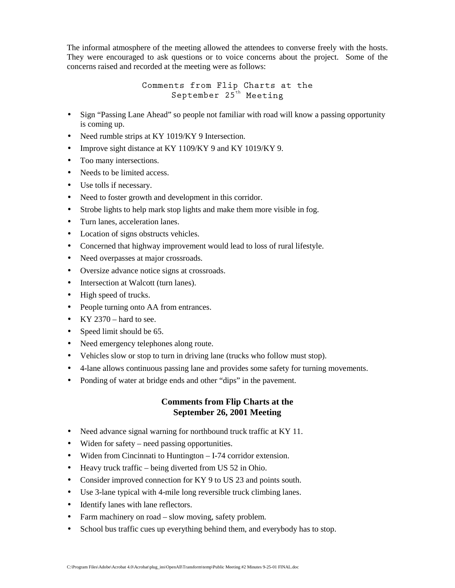The informal atmosphere of the meeting allowed the attendees to converse freely with the hosts. They were encouraged to ask questions or to voice concerns about the project. Some of the concerns raised and recorded at the meeting were as follows:

> **Comments from Flip Charts at the September 25th Meeting**

- Sign "Passing Lane Ahead" so people not familiar with road will know a passing opportunity is coming up.
- Need rumble strips at KY 1019/KY 9 Intersection.
- Improve sight distance at KY 1109/KY 9 and KY 1019/KY 9.
- Too many intersections.
- Needs to be limited access.
- Use tolls if necessary.
- Need to foster growth and development in this corridor.
- Strobe lights to help mark stop lights and make them more visible in fog.
- Turn lanes, acceleration lanes.
- Location of signs obstructs vehicles.
- Concerned that highway improvement would lead to loss of rural lifestyle.
- Need overpasses at major crossroads.
- Oversize advance notice signs at crossroads.
- Intersection at Walcott (turn lanes).
- High speed of trucks.
- People turning onto AA from entrances.
- KY 2370 hard to see.
- Speed limit should be 65.
- Need emergency telephones along route.
- Vehicles slow or stop to turn in driving lane (trucks who follow must stop).
- 4-lane allows continuous passing lane and provides some safety for turning movements.
- Ponding of water at bridge ends and other "dips" in the pavement.

## **Comments from Flip Charts at the September 26, 2001 Meeting**

- Need advance signal warning for northbound truck traffic at KY 11.
- Widen for safety need passing opportunities.
- Widen from Cincinnati to Huntington I-74 corridor extension.
- Heavy truck traffic being diverted from US 52 in Ohio.
- Consider improved connection for KY 9 to US 23 and points south.
- Use 3-lane typical with 4-mile long reversible truck climbing lanes.
- Identify lanes with lane reflectors.
- Farm machinery on road slow moving, safety problem.
- School bus traffic cues up everything behind them, and everybody has to stop.